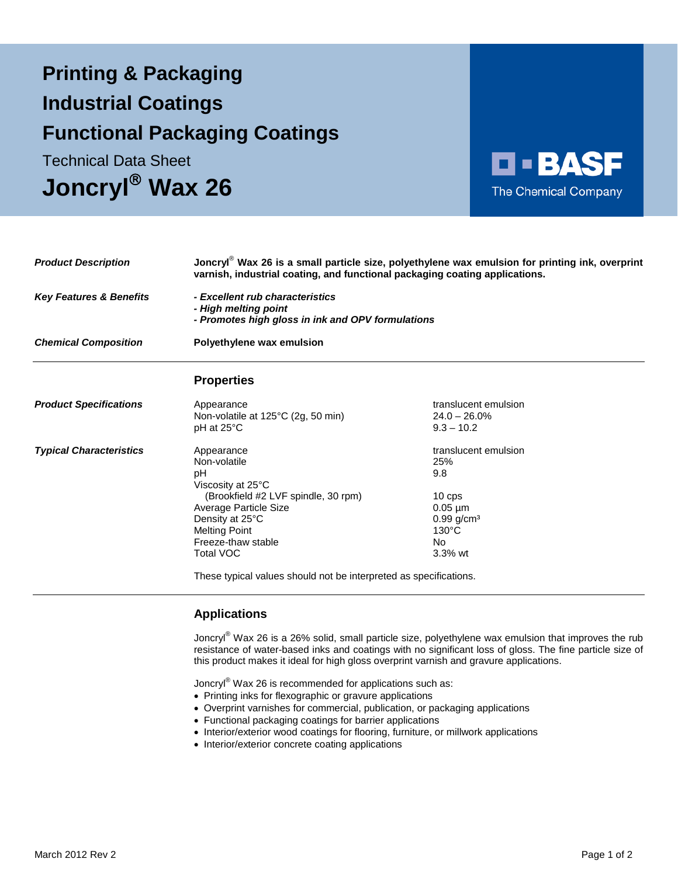# **Printing & Packaging Functional Packaging Coatings Industrial Coatings**

**Joncryl Wax 26** Technical Data Sheet



| <b>Product Description</b><br><b>Key Features &amp; Benefits</b><br><b>Chemical Composition</b> | Joncryl <sup>®</sup> Wax 26 is a small particle size, polyethylene wax emulsion for printing ink, overprint<br>varnish, industrial coating, and functional packaging coating applications.<br>- Excellent rub characteristics<br>- High melting point<br>- Promotes high gloss in ink and OPV formulations |                                                                                                                                |
|-------------------------------------------------------------------------------------------------|------------------------------------------------------------------------------------------------------------------------------------------------------------------------------------------------------------------------------------------------------------------------------------------------------------|--------------------------------------------------------------------------------------------------------------------------------|
|                                                                                                 |                                                                                                                                                                                                                                                                                                            |                                                                                                                                |
|                                                                                                 |                                                                                                                                                                                                                                                                                                            | <b>Properties</b>                                                                                                              |
| <b>Product Specifications</b>                                                                   | Appearance<br>Non-volatile at 125°C (2g, 50 min)<br>$pH$ at 25 $\degree$ C                                                                                                                                                                                                                                 | translucent emulsion<br>$24.0 - 26.0\%$<br>$9.3 - 10.2$                                                                        |
| <b>Typical Characteristics</b>                                                                  | Appearance<br>Non-volatile<br>pH<br>Viscosity at 25°C<br>(Brookfield #2 LVF spindle, 30 rpm)<br>Average Particle Size<br>Density at 25°C<br><b>Melting Point</b><br>Freeze-thaw stable<br><b>Total VOC</b>                                                                                                 | translucent emulsion<br>25%<br>9.8<br>10 cps<br>$0.05 \mu m$<br>$0.99$ g/cm <sup>3</sup><br>$130^{\circ}$ C<br>No<br>$3.3%$ wt |
|                                                                                                 | These typical values should not be interpreted as specifications.                                                                                                                                                                                                                                          |                                                                                                                                |

## **Applications**

Joncryl<sup>®</sup> Wax 26 is a 26% solid, small particle size, polyethylene wax emulsion that improves the rub resistance of water-based inks and coatings with no significant loss of gloss. The fine particle size of this product makes it ideal for high gloss overprint varnish and gravure applications.

Joncryl® Wax 26 is recommended for applications such as:

- Printing inks for flexographic or gravure applications
- Overprint varnishes for commercial, publication, or packaging applications
- Functional packaging coatings for barrier applications
- Interior/exterior wood coatings for flooring, furniture, or millwork applications
- Interior/exterior concrete coating applications